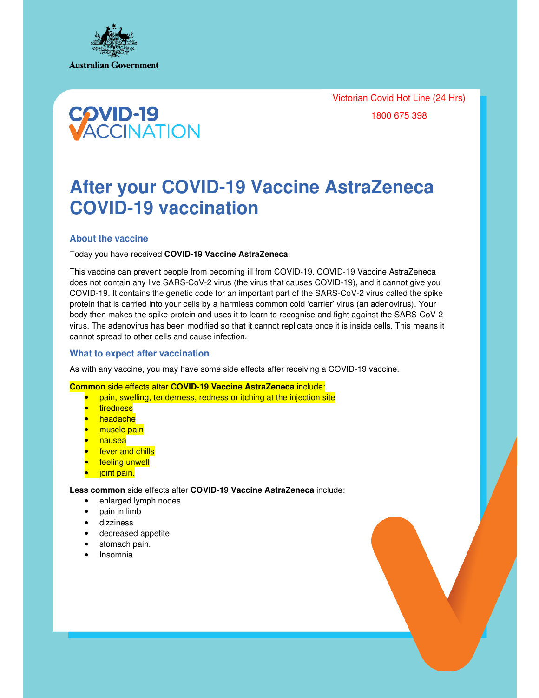

Victorian Covid Hot Line (24 Hrs) 1800 675 398



# **After your COVID-19 Vaccine AstraZeneca COVID-19 vaccination**

## **About the vaccine**

Today you have received **COVID-19 Vaccine AstraZeneca**.

This vaccine can prevent people from becoming ill from COVID-19. COVID-19 Vaccine AstraZeneca does not contain any live SARS-CoV-2 virus (the virus that causes COVID-19), and it cannot give you COVID-19. It contains the genetic code for an important part of the SARS-CoV-2 virus called the spike protein that is carried into your cells by a harmless common cold 'carrier' virus (an adenovirus). Your body then makes the spike protein and uses it to learn to recognise and fight against the SARS-CoV-2 virus. The adenovirus has been modified so that it cannot replicate once it is inside cells. This means it cannot spread to other cells and cause infection.

## **What to expect after vaccination**

As with any vaccine, you may have some side effects after receiving a COVID-19 vaccine.

**Common** side effects after **COVID-19 Vaccine AstraZeneca** include:

- pain, swelling, tenderness, redness or itching at the injection site
- **tiredness**
- headache
- muscle pain
- nausea
- fever and chills
- feeling unwell
- joint pain.

**Less common** side effects after **COVID-19 Vaccine AstraZeneca** include:

- enlarged lymph nodes
- pain in limb
- dizziness
- decreased appetite
- stomach pain.
- Insomnia